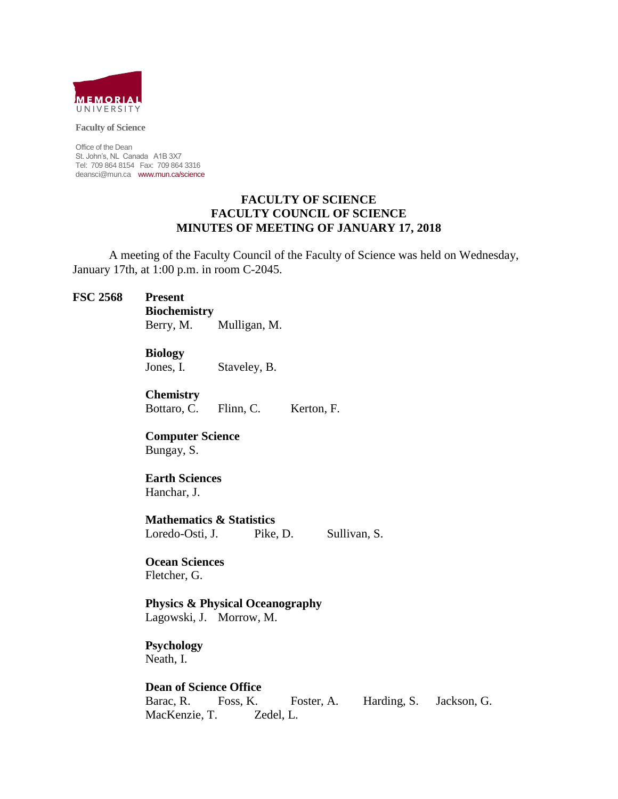

**Faculty of Science**

Office of the Dean St. John's, NL Canada A1B 3X7 Tel: 709 864 8154 Fax: 709 864 3316 deansci@mun.ca www.mun.ca/science

#### **FACULTY OF SCIENCE FACULTY COUNCIL OF SCIENCE MINUTES OF MEETING OF JANUARY 17, 2018**

A meeting of the Faculty Council of the Faculty of Science was held on Wednesday, January 17th, at 1:00 p.m. in room C-2045.

#### **FSC 2568 Present**

**Biochemistry**

Berry, M. Mulligan, M.

**Biology**

Jones, I. Staveley, B.

**Chemistry** Bottaro, C. Flinn, C. Kerton, F.

**Computer Science** Bungay, S.

# **Earth Sciences**

Hanchar, J.

**Mathematics & Statistics** Loredo-Osti, J. Pike, D. Sullivan, S.

# **Ocean Sciences**

Fletcher, G.

**Physics & Physical Oceanography**

Lagowski, J. Morrow, M.

# **Psychology**

Neath, I.

**Dean of Science Office**

Barac, R. Foss, K. Foster, A. Harding, S. Jackson, G. MacKenzie, T. Zedel, L.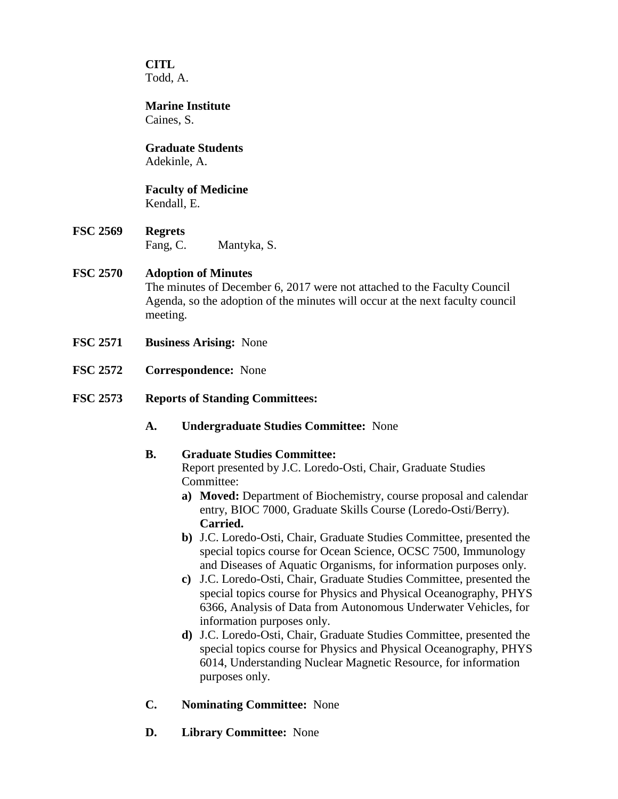**CITL** Todd, A.

**Marine Institute** Caines, S.

# **Graduate Students**

Adekinle, A.

#### **Faculty of Medicine** Kendall, E.

**FSC 2569 Regrets** Fang, C. Mantyka, S.

# **FSC 2570 Adoption of Minutes**

The minutes of December 6, 2017 were not attached to the Faculty Council Agenda, so the adoption of the minutes will occur at the next faculty council meeting.

- **FSC 2571 Business Arising:** None
- **FSC 2572 Correspondence:** None
- **FSC 2573 Reports of Standing Committees:**
	- **A. Undergraduate Studies Committee:** None

# **B. Graduate Studies Committee:**

Report presented by J.C. Loredo-Osti, Chair, Graduate Studies Committee:

- **a) Moved:** Department of Biochemistry, course proposal and calendar entry, BIOC 7000, Graduate Skills Course (Loredo-Osti/Berry). **Carried.**
- **b)** J.C. Loredo-Osti, Chair, Graduate Studies Committee, presented the special topics course for Ocean Science, OCSC 7500, Immunology and Diseases of Aquatic Organisms, for information purposes only.
- **c)** J.C. Loredo-Osti, Chair, Graduate Studies Committee, presented the special topics course for Physics and Physical Oceanography, PHYS 6366, Analysis of Data from Autonomous Underwater Vehicles, for information purposes only.
- **d)** J.C. Loredo-Osti, Chair, Graduate Studies Committee, presented the special topics course for Physics and Physical Oceanography, PHYS 6014, Understanding Nuclear Magnetic Resource, for information purposes only.
- **C. Nominating Committee:** None
- **D. Library Committee:** None